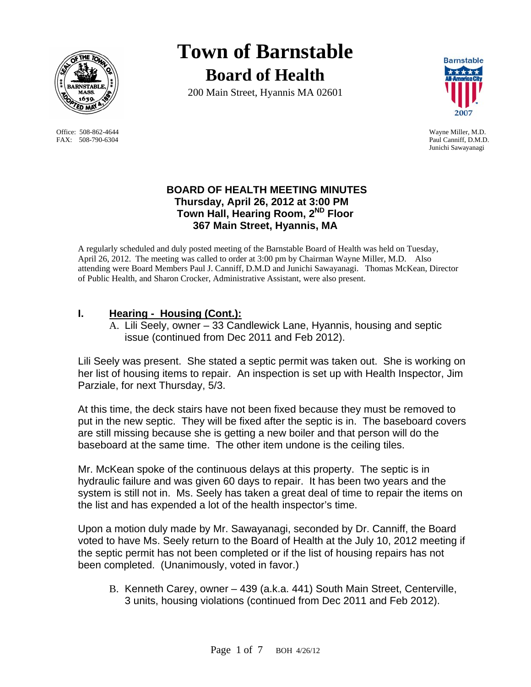

Office: 508-862-4644 Wayne Miller, M.D. FAX: 508-790-6304 Paul Canniff, D.M.D.

# **Town of Barnstable Board of Health**

200 Main Street, Hyannis MA 02601



Junichi Sawayanagi

## **BOARD OF HEALTH MEETING MINUTES Thursday, April 26, 2012 at 3:00 PM Town Hall, Hearing Room, 2ND Floor 367 Main Street, Hyannis, MA**

A regularly scheduled and duly posted meeting of the Barnstable Board of Health was held on Tuesday, April 26, 2012. The meeting was called to order at 3:00 pm by Chairman Wayne Miller, M.D. Also attending were Board Members Paul J. Canniff, D.M.D and Junichi Sawayanagi. Thomas McKean, Director of Public Health, and Sharon Crocker, Administrative Assistant, were also present.

## **I. Hearing - Housing (Cont.):**

A. Lili Seely, owner – 33 Candlewick Lane, Hyannis, housing and septic issue (continued from Dec 2011 and Feb 2012).

Lili Seely was present. She stated a septic permit was taken out. She is working on her list of housing items to repair. An inspection is set up with Health Inspector, Jim Parziale, for next Thursday, 5/3.

At this time, the deck stairs have not been fixed because they must be removed to put in the new septic. They will be fixed after the septic is in. The baseboard covers are still missing because she is getting a new boiler and that person will do the baseboard at the same time. The other item undone is the ceiling tiles.

Mr. McKean spoke of the continuous delays at this property. The septic is in hydraulic failure and was given 60 days to repair. It has been two years and the system is still not in. Ms. Seely has taken a great deal of time to repair the items on the list and has expended a lot of the health inspector's time.

Upon a motion duly made by Mr. Sawayanagi, seconded by Dr. Canniff, the Board voted to have Ms. Seely return to the Board of Health at the July 10, 2012 meeting if the septic permit has not been completed or if the list of housing repairs has not been completed. (Unanimously, voted in favor.)

B. Kenneth Carey, owner – 439 (a.k.a. 441) South Main Street, Centerville, 3 units, housing violations (continued from Dec 2011 and Feb 2012).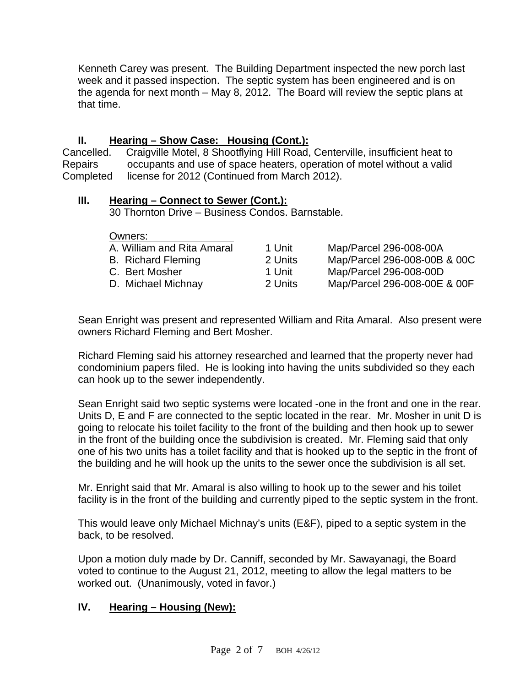Kenneth Carey was present. The Building Department inspected the new porch last week and it passed inspection. The septic system has been engineered and is on the agenda for next month – May 8, 2012. The Board will review the septic plans at that time.

## **II. Hearing – Show Case: Housing (Cont.):**

Cancelled. Craigville Motel, 8 Shootflying Hill Road, Centerville, insufficient heat to Repairs occupants and use of space heaters, operation of motel without a valid Completed license for 2012 (Continued from March 2012).

## **III. Hearing – Connect to Sewer (Cont.):**

30 Thornton Drive – Business Condos. Barnstable.

| Owners:                    |         |                              |
|----------------------------|---------|------------------------------|
| A. William and Rita Amaral | 1 Unit  | Map/Parcel 296-008-00A       |
| <b>B.</b> Richard Fleming  | 2 Units | Map/Parcel 296-008-00B & 00C |
| C. Bert Mosher             | 1 Unit  | Map/Parcel 296-008-00D       |
| D. Michael Michnay         | 2 Units | Map/Parcel 296-008-00E & 00F |

Sean Enright was present and represented William and Rita Amaral. Also present were owners Richard Fleming and Bert Mosher.

Richard Fleming said his attorney researched and learned that the property never had condominium papers filed. He is looking into having the units subdivided so they each can hook up to the sewer independently.

Sean Enright said two septic systems were located -one in the front and one in the rear. Units D, E and F are connected to the septic located in the rear. Mr. Mosher in unit D is going to relocate his toilet facility to the front of the building and then hook up to sewer in the front of the building once the subdivision is created. Mr. Fleming said that only one of his two units has a toilet facility and that is hooked up to the septic in the front of the building and he will hook up the units to the sewer once the subdivision is all set.

Mr. Enright said that Mr. Amaral is also willing to hook up to the sewer and his toilet facility is in the front of the building and currently piped to the septic system in the front.

This would leave only Michael Michnay's units (E&F), piped to a septic system in the back, to be resolved.

Upon a motion duly made by Dr. Canniff, seconded by Mr. Sawayanagi, the Board voted to continue to the August 21, 2012, meeting to allow the legal matters to be worked out. (Unanimously, voted in favor.)

## **IV. Hearing – Housing (New):**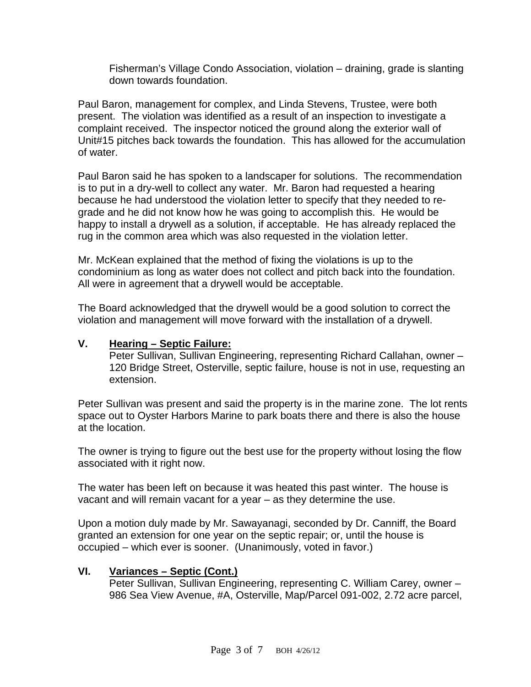Fisherman's Village Condo Association, violation – draining, grade is slanting down towards foundation.

Paul Baron, management for complex, and Linda Stevens, Trustee, were both present. The violation was identified as a result of an inspection to investigate a complaint received. The inspector noticed the ground along the exterior wall of Unit#15 pitches back towards the foundation. This has allowed for the accumulation of water.

Paul Baron said he has spoken to a landscaper for solutions. The recommendation is to put in a dry-well to collect any water. Mr. Baron had requested a hearing because he had understood the violation letter to specify that they needed to regrade and he did not know how he was going to accomplish this. He would be happy to install a drywell as a solution, if acceptable. He has already replaced the rug in the common area which was also requested in the violation letter.

Mr. McKean explained that the method of fixing the violations is up to the condominium as long as water does not collect and pitch back into the foundation. All were in agreement that a drywell would be acceptable.

The Board acknowledged that the drywell would be a good solution to correct the violation and management will move forward with the installation of a drywell.

#### **V. Hearing – Septic Failure:**

Peter Sullivan, Sullivan Engineering, representing Richard Callahan, owner – 120 Bridge Street, Osterville, septic failure, house is not in use, requesting an extension.

Peter Sullivan was present and said the property is in the marine zone. The lot rents space out to Oyster Harbors Marine to park boats there and there is also the house at the location.

The owner is trying to figure out the best use for the property without losing the flow associated with it right now.

The water has been left on because it was heated this past winter. The house is vacant and will remain vacant for a year – as they determine the use.

Upon a motion duly made by Mr. Sawayanagi, seconded by Dr. Canniff, the Board granted an extension for one year on the septic repair; or, until the house is occupied – which ever is sooner. (Unanimously, voted in favor.)

#### **VI. Variances – Septic (Cont.)**

Peter Sullivan, Sullivan Engineering, representing C. William Carey, owner – 986 Sea View Avenue, #A, Osterville, Map/Parcel 091-002, 2.72 acre parcel,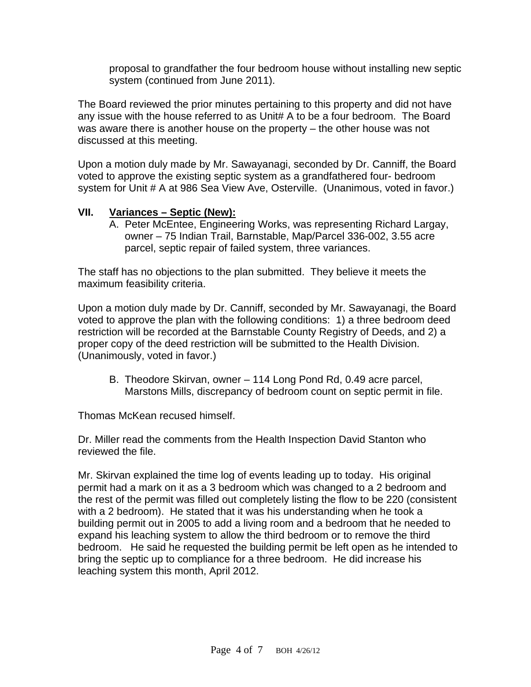proposal to grandfather the four bedroom house without installing new septic system (continued from June 2011).

The Board reviewed the prior minutes pertaining to this property and did not have any issue with the house referred to as Unit# A to be a four bedroom. The Board was aware there is another house on the property – the other house was not discussed at this meeting.

Upon a motion duly made by Mr. Sawayanagi, seconded by Dr. Canniff, the Board voted to approve the existing septic system as a grandfathered four- bedroom system for Unit # A at 986 Sea View Ave, Osterville. (Unanimous, voted in favor.)

#### **VII. Variances – Septic (New):**

A. Peter McEntee, Engineering Works, was representing Richard Largay, owner – 75 Indian Trail, Barnstable, Map/Parcel 336-002, 3.55 acre parcel, septic repair of failed system, three variances.

The staff has no objections to the plan submitted. They believe it meets the maximum feasibility criteria.

Upon a motion duly made by Dr. Canniff, seconded by Mr. Sawayanagi, the Board voted to approve the plan with the following conditions: 1) a three bedroom deed restriction will be recorded at the Barnstable County Registry of Deeds, and 2) a proper copy of the deed restriction will be submitted to the Health Division. (Unanimously, voted in favor.)

B. Theodore Skirvan, owner – 114 Long Pond Rd, 0.49 acre parcel, Marstons Mills, discrepancy of bedroom count on septic permit in file.

Thomas McKean recused himself.

Dr. Miller read the comments from the Health Inspection David Stanton who reviewed the file.

Mr. Skirvan explained the time log of events leading up to today. His original permit had a mark on it as a 3 bedroom which was changed to a 2 bedroom and the rest of the permit was filled out completely listing the flow to be 220 (consistent with a 2 bedroom). He stated that it was his understanding when he took a building permit out in 2005 to add a living room and a bedroom that he needed to expand his leaching system to allow the third bedroom or to remove the third bedroom. He said he requested the building permit be left open as he intended to bring the septic up to compliance for a three bedroom. He did increase his leaching system this month, April 2012.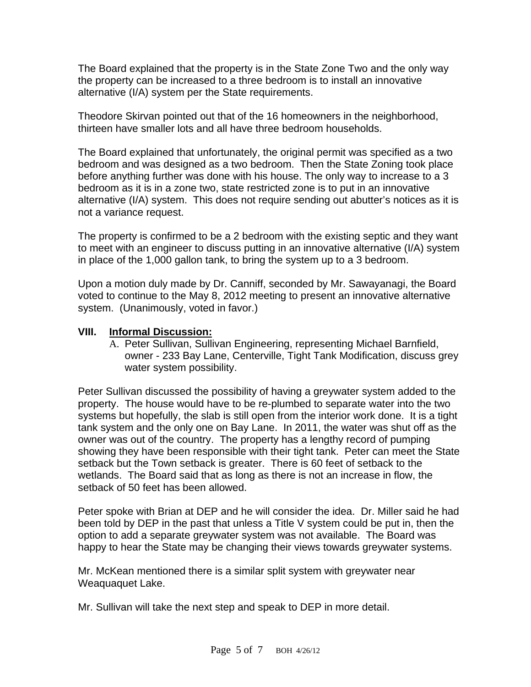The Board explained that the property is in the State Zone Two and the only way the property can be increased to a three bedroom is to install an innovative alternative (I/A) system per the State requirements.

Theodore Skirvan pointed out that of the 16 homeowners in the neighborhood, thirteen have smaller lots and all have three bedroom households.

The Board explained that unfortunately, the original permit was specified as a two bedroom and was designed as a two bedroom. Then the State Zoning took place before anything further was done with his house. The only way to increase to a 3 bedroom as it is in a zone two, state restricted zone is to put in an innovative alternative (I/A) system. This does not require sending out abutter's notices as it is not a variance request.

The property is confirmed to be a 2 bedroom with the existing septic and they want to meet with an engineer to discuss putting in an innovative alternative (I/A) system in place of the 1,000 gallon tank, to bring the system up to a 3 bedroom.

Upon a motion duly made by Dr. Canniff, seconded by Mr. Sawayanagi, the Board voted to continue to the May 8, 2012 meeting to present an innovative alternative system. (Unanimously, voted in favor.)

#### **VIII. Informal Discussion:**

A. Peter Sullivan, Sullivan Engineering, representing Michael Barnfield, owner - 233 Bay Lane, Centerville, Tight Tank Modification, discuss grey water system possibility.

Peter Sullivan discussed the possibility of having a greywater system added to the property. The house would have to be re-plumbed to separate water into the two systems but hopefully, the slab is still open from the interior work done. It is a tight tank system and the only one on Bay Lane. In 2011, the water was shut off as the owner was out of the country. The property has a lengthy record of pumping showing they have been responsible with their tight tank. Peter can meet the State setback but the Town setback is greater. There is 60 feet of setback to the wetlands. The Board said that as long as there is not an increase in flow, the setback of 50 feet has been allowed.

Peter spoke with Brian at DEP and he will consider the idea. Dr. Miller said he had been told by DEP in the past that unless a Title V system could be put in, then the option to add a separate greywater system was not available. The Board was happy to hear the State may be changing their views towards greywater systems.

Mr. McKean mentioned there is a similar split system with greywater near Weaquaquet Lake.

Mr. Sullivan will take the next step and speak to DEP in more detail.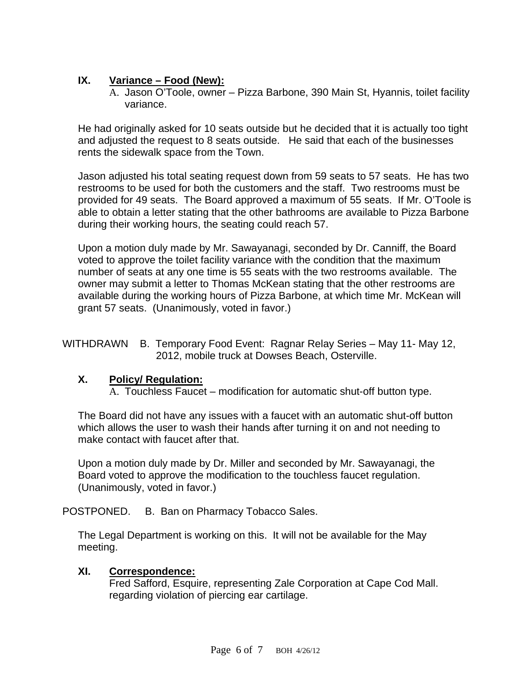## **IX. Variance – Food (New):**

A. Jason O'Toole, owner – Pizza Barbone, 390 Main St, Hyannis, toilet facility variance.

He had originally asked for 10 seats outside but he decided that it is actually too tight and adjusted the request to 8 seats outside. He said that each of the businesses rents the sidewalk space from the Town.

Jason adjusted his total seating request down from 59 seats to 57 seats. He has two restrooms to be used for both the customers and the staff. Two restrooms must be provided for 49 seats. The Board approved a maximum of 55 seats. If Mr. O'Toole is able to obtain a letter stating that the other bathrooms are available to Pizza Barbone during their working hours, the seating could reach 57.

Upon a motion duly made by Mr. Sawayanagi, seconded by Dr. Canniff, the Board voted to approve the toilet facility variance with the condition that the maximum number of seats at any one time is 55 seats with the two restrooms available. The owner may submit a letter to Thomas McKean stating that the other restrooms are available during the working hours of Pizza Barbone, at which time Mr. McKean will grant 57 seats. (Unanimously, voted in favor.)

WITHDRAWN B. Temporary Food Event: Ragnar Relay Series – May 11- May 12, 2012, mobile truck at Dowses Beach, Osterville.

## **X. Policy/ Regulation:**

A. Touchless Faucet – modification for automatic shut-off button type.

The Board did not have any issues with a faucet with an automatic shut-off button which allows the user to wash their hands after turning it on and not needing to make contact with faucet after that.

Upon a motion duly made by Dr. Miller and seconded by Mr. Sawayanagi, the Board voted to approve the modification to the touchless faucet regulation. (Unanimously, voted in favor.)

POSTPONED. B. Ban on Pharmacy Tobacco Sales.

The Legal Department is working on this. It will not be available for the May meeting.

#### **XI. Correspondence:**

Fred Safford, Esquire, representing Zale Corporation at Cape Cod Mall. regarding violation of piercing ear cartilage.